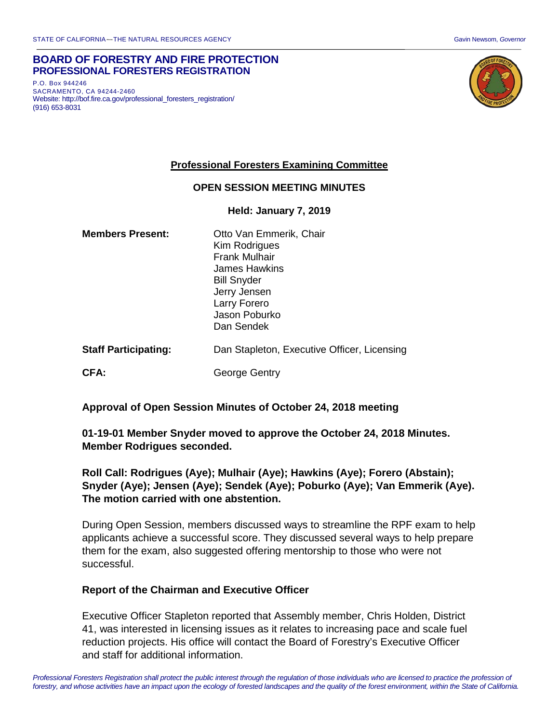#### **BOARD OF FORESTRY AND FIRE PROTECTION PROFESSIONAL FORESTERS REGISTRATION**

P.O. Box 944246 SACRAMENTO, CA 94244-2460 Website: http://bof.fire.ca.gov/professional\_foresters\_registration/ (916) 653-8031



### **Professional Foresters Examining Committee**

#### **OPEN SESSION MEETING MINUTES**

#### **Held: January 7, 2019**

| <b>Members Present:</b>     | Otto Van Emmerik, Chair<br>Kim Rodrigues<br><b>Frank Mulhair</b><br>James Hawkins<br><b>Bill Snyder</b><br>Jerry Jensen<br>Larry Forero<br>Jason Poburko<br>Dan Sendek |
|-----------------------------|------------------------------------------------------------------------------------------------------------------------------------------------------------------------|
| <b>Staff Participating:</b> | Dan Stapleton, Executive Officer, Licensing                                                                                                                            |
| CFA:                        | George Gentry                                                                                                                                                          |

### **Approval of Open Session Minutes of October 24, 2018 meeting**

### **01-19-01 Member Snyder moved to approve the October 24, 2018 Minutes. Member Rodrigues seconded.**

# **Roll Call: Rodrigues (Aye); Mulhair (Aye); Hawkins (Aye); Forero (Abstain); Snyder (Aye); Jensen (Aye); Sendek (Aye); Poburko (Aye); Van Emmerik (Aye). The motion carried with one abstention.**

During Open Session, members discussed ways to streamline the RPF exam to help applicants achieve a successful score. They discussed several ways to help prepare them for the exam, also suggested offering mentorship to those who were not successful.

### **Report of the Chairman and Executive Officer**

Executive Officer Stapleton reported that Assembly member, Chris Holden, District 41, was interested in licensing issues as it relates to increasing pace and scale fuel reduction projects. His office will contact the Board of Forestry's Executive Officer and staff for additional information.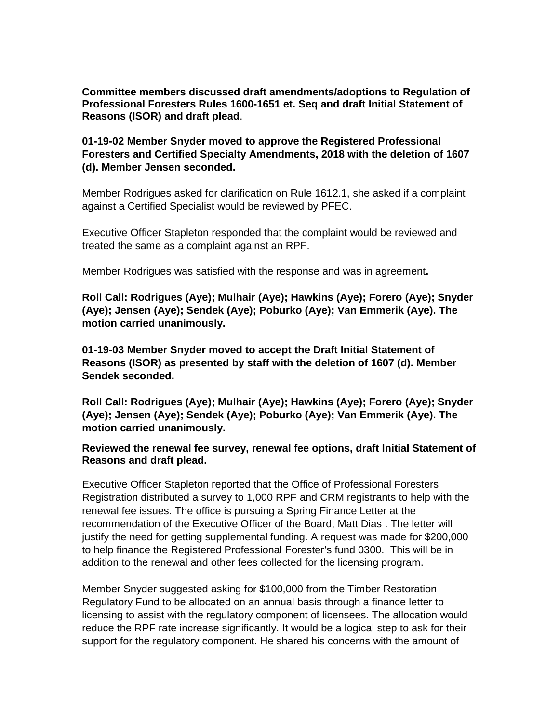**Committee members discussed draft amendments/adoptions to Regulation of Professional Foresters Rules 1600-1651 et. Seq and draft Initial Statement of Reasons (ISOR) and draft plead**.

# **01-19-02 Member Snyder moved to approve the Registered Professional Foresters and Certified Specialty Amendments, 2018 with the deletion of 1607 (d). Member Jensen seconded.**

Member Rodrigues asked for clarification on Rule 1612.1, she asked if a complaint against a Certified Specialist would be reviewed by PFEC.

Executive Officer Stapleton responded that the complaint would be reviewed and treated the same as a complaint against an RPF.

Member Rodrigues was satisfied with the response and was in agreement**.** 

**Roll Call: Rodrigues (Aye); Mulhair (Aye); Hawkins (Aye); Forero (Aye); Snyder (Aye); Jensen (Aye); Sendek (Aye); Poburko (Aye); Van Emmerik (Aye). The motion carried unanimously.**

**01-19-03 Member Snyder moved to accept the Draft Initial Statement of Reasons (ISOR) as presented by staff with the deletion of 1607 (d). Member Sendek seconded.** 

**Roll Call: Rodrigues (Aye); Mulhair (Aye); Hawkins (Aye); Forero (Aye); Snyder (Aye); Jensen (Aye); Sendek (Aye); Poburko (Aye); Van Emmerik (Aye). The motion carried unanimously.**

### **Reviewed the renewal fee survey, renewal fee options, draft Initial Statement of Reasons and draft plead.**

Executive Officer Stapleton reported that the Office of Professional Foresters Registration distributed a survey to 1,000 RPF and CRM registrants to help with the renewal fee issues. The office is pursuing a Spring Finance Letter at the recommendation of the Executive Officer of the Board, Matt Dias . The letter will justify the need for getting supplemental funding. A request was made for \$200,000 to help finance the Registered Professional Forester's fund 0300. This will be in addition to the renewal and other fees collected for the licensing program.

Member Snyder suggested asking for \$100,000 from the Timber Restoration Regulatory Fund to be allocated on an annual basis through a finance letter to licensing to assist with the regulatory component of licensees. The allocation would reduce the RPF rate increase significantly. It would be a logical step to ask for their support for the regulatory component. He shared his concerns with the amount of